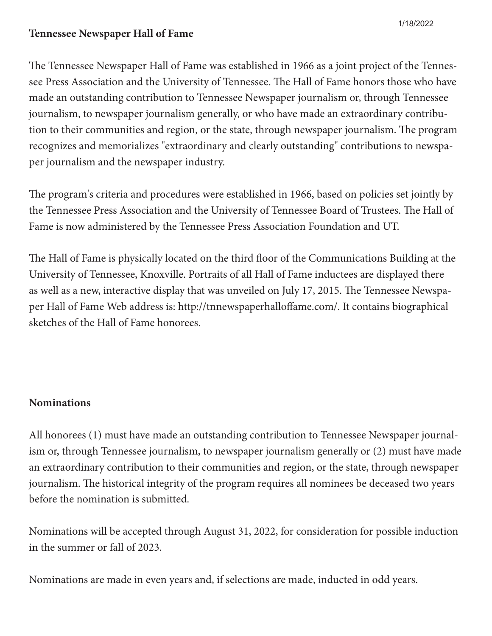## **Tennessee Newspaper Hall of Fame**

1/18/2022

The Tennessee Newspaper Hall of Fame was established in 1966 as a joint project of the Tennessee Press Association and the University of Tennessee. The Hall of Fame honors those who have made an outstanding contribution to Tennessee Newspaper journalism or, through Tennessee journalism, to newspaper journalism generally, or who have made an extraordinary contribution to their communities and region, or the state, through newspaper journalism. The program recognizes and memorializes "extraordinary and clearly outstanding" contributions to newspaper journalism and the newspaper industry.

The program's criteria and procedures were established in 1966, based on policies set jointly by the Tennessee Press Association and the University of Tennessee Board of Trustees. The Hall of Fame is now administered by the Tennessee Press Association Foundation and UT.

The Hall of Fame is physically located on the third floor of the Communications Building at the University of Tennessee, Knoxville. Portraits of all Hall of Fame inductees are displayed there as well as a new, interactive display that was unveiled on July 17, 2015. The Tennessee Newspaper Hall of Fame Web address is: http://tnnewspaperhalloffame.com/. It contains biographical sketches of the Hall of Fame honorees.

## **Nominations**

All honorees (1) must have made an outstanding contribution to Tennessee Newspaper journalism or, through Tennessee journalism, to newspaper journalism generally or (2) must have made an extraordinary contribution to their communities and region, or the state, through newspaper journalism. The historical integrity of the program requires all nominees be deceased two years before the nomination is submitted.

Nominations will be accepted through August 31, 2022, for consideration for possible induction in the summer or fall of 2023.

Nominations are made in even years and, if selections are made, inducted in odd years.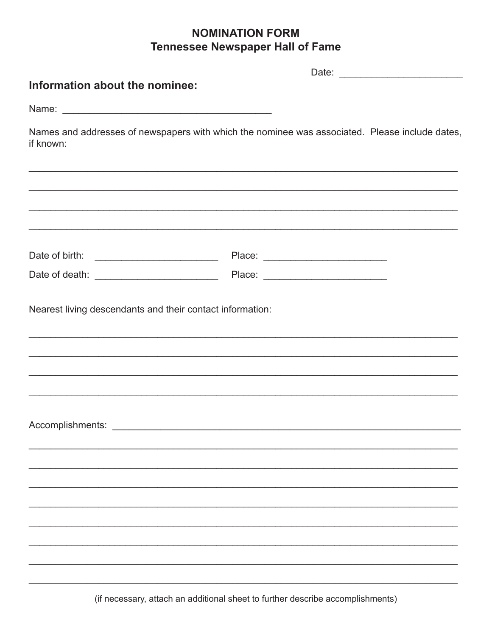## **NOMINATION FORM Tennessee Newspaper Hall of Fame**

| Information about the nominee:                            |                                                                                                |  |  |
|-----------------------------------------------------------|------------------------------------------------------------------------------------------------|--|--|
|                                                           |                                                                                                |  |  |
| if known:                                                 | Names and addresses of newspapers with which the nominee was associated. Please include dates, |  |  |
|                                                           |                                                                                                |  |  |
|                                                           |                                                                                                |  |  |
|                                                           |                                                                                                |  |  |
| Nearest living descendants and their contact information: |                                                                                                |  |  |
| Accomplishments:                                          |                                                                                                |  |  |
|                                                           |                                                                                                |  |  |
|                                                           |                                                                                                |  |  |
|                                                           |                                                                                                |  |  |
|                                                           |                                                                                                |  |  |
|                                                           |                                                                                                |  |  |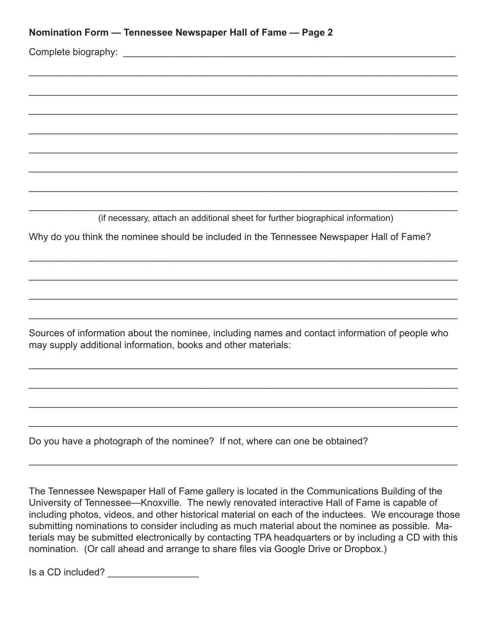| Nomination Form — Tennessee Newspaper Hall of Fame — Page 2 |  |  |  |  |
|-------------------------------------------------------------|--|--|--|--|
|-------------------------------------------------------------|--|--|--|--|

Complete biography: \_\_\_\_\_\_\_\_\_\_\_\_\_\_\_\_\_\_\_\_\_\_\_\_\_\_\_\_\_\_\_\_\_\_\_\_\_\_\_\_\_\_\_\_\_\_\_\_\_\_\_\_\_\_\_\_\_\_\_\_\_\_

\_\_\_\_\_\_\_\_\_\_\_\_\_\_\_\_\_\_\_\_\_\_\_\_\_\_\_\_\_\_\_\_\_\_\_\_\_\_\_\_\_\_\_\_\_\_\_\_\_\_\_\_\_\_\_\_\_\_\_\_\_\_\_\_\_\_\_\_\_\_\_\_\_\_\_\_\_\_\_\_ (if necessary, attach an additional sheet for further biographical information)

 $\mathcal{L}_\text{max} = \frac{1}{2} \sum_{i=1}^{n} \frac{1}{2} \sum_{i=1}^{n} \frac{1}{2} \sum_{i=1}^{n} \frac{1}{2} \sum_{i=1}^{n} \frac{1}{2} \sum_{i=1}^{n} \frac{1}{2} \sum_{i=1}^{n} \frac{1}{2} \sum_{i=1}^{n} \frac{1}{2} \sum_{i=1}^{n} \frac{1}{2} \sum_{i=1}^{n} \frac{1}{2} \sum_{i=1}^{n} \frac{1}{2} \sum_{i=1}^{n} \frac{1}{2} \sum_{i=1}^{n} \frac{1$ 

 $\mathcal{L}_\text{max} = \frac{1}{2} \sum_{i=1}^{n} \frac{1}{2} \sum_{i=1}^{n} \frac{1}{2} \sum_{i=1}^{n} \frac{1}{2} \sum_{i=1}^{n} \frac{1}{2} \sum_{i=1}^{n} \frac{1}{2} \sum_{i=1}^{n} \frac{1}{2} \sum_{i=1}^{n} \frac{1}{2} \sum_{i=1}^{n} \frac{1}{2} \sum_{i=1}^{n} \frac{1}{2} \sum_{i=1}^{n} \frac{1}{2} \sum_{i=1}^{n} \frac{1}{2} \sum_{i=1}^{n} \frac{1$ 

 $\mathcal{L}_\text{max} = \frac{1}{2} \sum_{i=1}^{n} \frac{1}{2} \sum_{i=1}^{n} \frac{1}{2} \sum_{i=1}^{n} \frac{1}{2} \sum_{i=1}^{n} \frac{1}{2} \sum_{i=1}^{n} \frac{1}{2} \sum_{i=1}^{n} \frac{1}{2} \sum_{i=1}^{n} \frac{1}{2} \sum_{i=1}^{n} \frac{1}{2} \sum_{i=1}^{n} \frac{1}{2} \sum_{i=1}^{n} \frac{1}{2} \sum_{i=1}^{n} \frac{1}{2} \sum_{i=1}^{n} \frac{1$ 

 $\mathcal{L}_\text{max} = \frac{1}{2} \sum_{i=1}^{n} \frac{1}{2} \sum_{i=1}^{n} \frac{1}{2} \sum_{i=1}^{n} \frac{1}{2} \sum_{i=1}^{n} \frac{1}{2} \sum_{i=1}^{n} \frac{1}{2} \sum_{i=1}^{n} \frac{1}{2} \sum_{i=1}^{n} \frac{1}{2} \sum_{i=1}^{n} \frac{1}{2} \sum_{i=1}^{n} \frac{1}{2} \sum_{i=1}^{n} \frac{1}{2} \sum_{i=1}^{n} \frac{1}{2} \sum_{i=1}^{n} \frac{1$ 

\_\_\_\_\_\_\_\_\_\_\_\_\_\_\_\_\_\_\_\_\_\_\_\_\_\_\_\_\_\_\_\_\_\_\_\_\_\_\_\_\_\_\_\_\_\_\_\_\_\_\_\_\_\_\_\_\_\_\_\_\_\_\_\_\_\_\_\_\_\_\_\_\_\_\_\_\_\_\_\_

\_\_\_\_\_\_\_\_\_\_\_\_\_\_\_\_\_\_\_\_\_\_\_\_\_\_\_\_\_\_\_\_\_\_\_\_\_\_\_\_\_\_\_\_\_\_\_\_\_\_\_\_\_\_\_\_\_\_\_\_\_\_\_\_\_\_\_\_\_\_\_\_\_\_\_\_\_\_\_\_

\_\_\_\_\_\_\_\_\_\_\_\_\_\_\_\_\_\_\_\_\_\_\_\_\_\_\_\_\_\_\_\_\_\_\_\_\_\_\_\_\_\_\_\_\_\_\_\_\_\_\_\_\_\_\_\_\_\_\_\_\_\_\_\_\_\_\_\_\_\_\_\_\_\_\_\_\_\_\_\_

\_\_\_\_\_\_\_\_\_\_\_\_\_\_\_\_\_\_\_\_\_\_\_\_\_\_\_\_\_\_\_\_\_\_\_\_\_\_\_\_\_\_\_\_\_\_\_\_\_\_\_\_\_\_\_\_\_\_\_\_\_\_\_\_\_\_\_\_\_\_\_\_\_\_\_\_\_\_\_\_

\_\_\_\_\_\_\_\_\_\_\_\_\_\_\_\_\_\_\_\_\_\_\_\_\_\_\_\_\_\_\_\_\_\_\_\_\_\_\_\_\_\_\_\_\_\_\_\_\_\_\_\_\_\_\_\_\_\_\_\_\_\_\_\_\_\_\_\_\_\_\_\_\_\_\_\_\_\_\_\_

\_\_\_\_\_\_\_\_\_\_\_\_\_\_\_\_\_\_\_\_\_\_\_\_\_\_\_\_\_\_\_\_\_\_\_\_\_\_\_\_\_\_\_\_\_\_\_\_\_\_\_\_\_\_\_\_\_\_\_\_\_\_\_\_\_\_\_\_\_\_\_\_\_\_\_\_\_\_\_\_

\_\_\_\_\_\_\_\_\_\_\_\_\_\_\_\_\_\_\_\_\_\_\_\_\_\_\_\_\_\_\_\_\_\_\_\_\_\_\_\_\_\_\_\_\_\_\_\_\_\_\_\_\_\_\_\_\_\_\_\_\_\_\_\_\_\_\_\_\_\_\_\_\_\_\_\_\_\_\_\_

Why do you think the nominee should be included in the Tennessee Newspaper Hall of Fame?

Sources of information about the nominee, including names and contact information of people who may supply additional information, books and other materials:

 $\mathcal{L}_\text{max} = \frac{1}{2} \sum_{i=1}^{n} \frac{1}{2} \sum_{i=1}^{n} \frac{1}{2} \sum_{i=1}^{n} \frac{1}{2} \sum_{i=1}^{n} \frac{1}{2} \sum_{i=1}^{n} \frac{1}{2} \sum_{i=1}^{n} \frac{1}{2} \sum_{i=1}^{n} \frac{1}{2} \sum_{i=1}^{n} \frac{1}{2} \sum_{i=1}^{n} \frac{1}{2} \sum_{i=1}^{n} \frac{1}{2} \sum_{i=1}^{n} \frac{1}{2} \sum_{i=1}^{n} \frac{1$ 

 $\mathcal{L}_\text{max} = \frac{1}{2} \sum_{i=1}^{n} \frac{1}{2} \sum_{i=1}^{n} \frac{1}{2} \sum_{i=1}^{n} \frac{1}{2} \sum_{i=1}^{n} \frac{1}{2} \sum_{i=1}^{n} \frac{1}{2} \sum_{i=1}^{n} \frac{1}{2} \sum_{i=1}^{n} \frac{1}{2} \sum_{i=1}^{n} \frac{1}{2} \sum_{i=1}^{n} \frac{1}{2} \sum_{i=1}^{n} \frac{1}{2} \sum_{i=1}^{n} \frac{1}{2} \sum_{i=1}^{n} \frac{1$ 

 $\mathcal{L}_\text{max} = \frac{1}{2} \sum_{i=1}^{n} \frac{1}{2} \sum_{i=1}^{n} \frac{1}{2} \sum_{i=1}^{n} \frac{1}{2} \sum_{i=1}^{n} \frac{1}{2} \sum_{i=1}^{n} \frac{1}{2} \sum_{i=1}^{n} \frac{1}{2} \sum_{i=1}^{n} \frac{1}{2} \sum_{i=1}^{n} \frac{1}{2} \sum_{i=1}^{n} \frac{1}{2} \sum_{i=1}^{n} \frac{1}{2} \sum_{i=1}^{n} \frac{1}{2} \sum_{i=1}^{n} \frac{1$ 

 $\mathcal{L}_\text{max} = \frac{1}{2} \sum_{i=1}^{n} \frac{1}{2} \sum_{i=1}^{n} \frac{1}{2} \sum_{i=1}^{n} \frac{1}{2} \sum_{i=1}^{n} \frac{1}{2} \sum_{i=1}^{n} \frac{1}{2} \sum_{i=1}^{n} \frac{1}{2} \sum_{i=1}^{n} \frac{1}{2} \sum_{i=1}^{n} \frac{1}{2} \sum_{i=1}^{n} \frac{1}{2} \sum_{i=1}^{n} \frac{1}{2} \sum_{i=1}^{n} \frac{1}{2} \sum_{i=1}^{n} \frac{1$ 

 $\mathcal{L}_\text{max} = \frac{1}{2} \sum_{i=1}^{n} \frac{1}{2} \sum_{i=1}^{n} \frac{1}{2} \sum_{i=1}^{n} \frac{1}{2} \sum_{i=1}^{n} \frac{1}{2} \sum_{i=1}^{n} \frac{1}{2} \sum_{i=1}^{n} \frac{1}{2} \sum_{i=1}^{n} \frac{1}{2} \sum_{i=1}^{n} \frac{1}{2} \sum_{i=1}^{n} \frac{1}{2} \sum_{i=1}^{n} \frac{1}{2} \sum_{i=1}^{n} \frac{1}{2} \sum_{i=1}^{n} \frac{1$ 

Do you have a photograph of the nominee? If not, where can one be obtained?

The Tennessee Newspaper Hall of Fame gallery is located in the Communications Building of the University of Tennessee—Knoxville. The newly renovated interactive Hall of Fame is capable of including photos, videos, and other historical material on each of the inductees. We encourage those submitting nominations to consider including as much material about the nominee as possible. Materials may be submitted electronically by contacting TPA headquarters or by including a CD with this nomination. (Or call ahead and arrange to share files via Google Drive or Dropbox.)

Is a CD included? \_\_\_\_\_\_\_\_\_\_\_\_\_\_\_\_\_